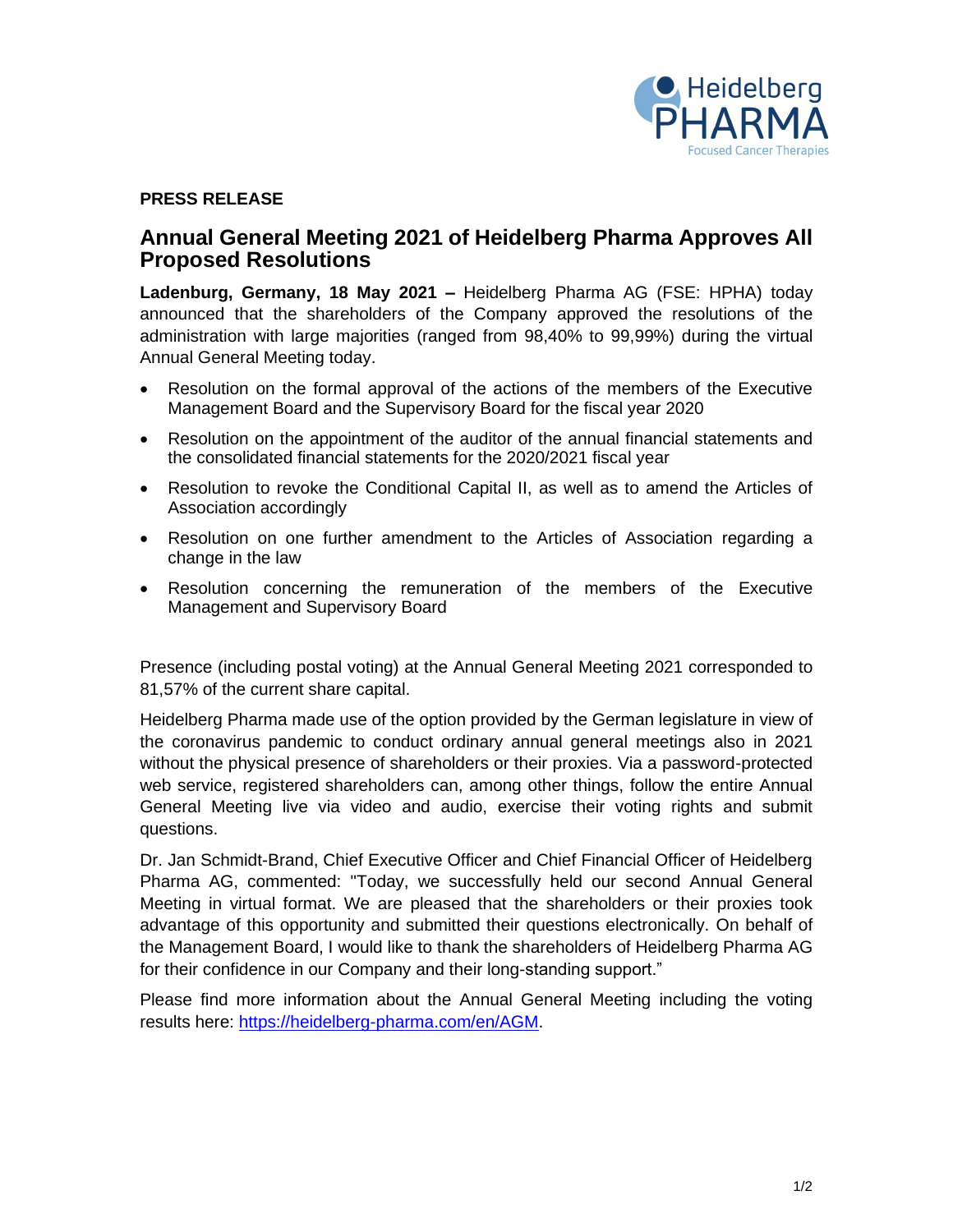

### **PRESS RELEASE**

## **Annual General Meeting 2021 of Heidelberg Pharma Approves All Proposed Resolutions**

**Ladenburg, Germany, 18 May 2021 –** Heidelberg Pharma AG (FSE: HPHA) today announced that the shareholders of the Company approved the resolutions of the administration with large majorities (ranged from 98,40% to 99,99%) during the virtual Annual General Meeting today.

- Resolution on the formal approval of the actions of the members of the Executive Management Board and the Supervisory Board for the fiscal year 2020
- Resolution on the appointment of the auditor of the annual financial statements and the consolidated financial statements for the 2020/2021 fiscal year
- Resolution to revoke the Conditional Capital II, as well as to amend the Articles of Association accordingly
- Resolution on one further amendment to the Articles of Association regarding a change in the law
- Resolution concerning the remuneration of the members of the Executive Management and Supervisory Board

Presence (including postal voting) at the Annual General Meeting 2021 corresponded to 81,57% of the current share capital.

Heidelberg Pharma made use of the option provided by the German legislature in view of the coronavirus pandemic to conduct ordinary annual general meetings also in 2021 without the physical presence of shareholders or their proxies. Via a password-protected web service, registered shareholders can, among other things, follow the entire Annual General Meeting live via video and audio, exercise their voting rights and submit questions.

Dr. Jan Schmidt-Brand, Chief Executive Officer and Chief Financial Officer of Heidelberg Pharma AG, commented: "Today, we successfully held our second Annual General Meeting in virtual format. We are pleased that the shareholders or their proxies took advantage of this opportunity and submitted their questions electronically. On behalf of the Management Board, I would like to thank the shareholders of Heidelberg Pharma AG for their confidence in our Company and their long-standing support."

Please find more information about the Annual General Meeting including the voting results here: [https://heidelberg-pharma.com/en/AGM.](https://heidelberg-pharma.com/en/AGM)